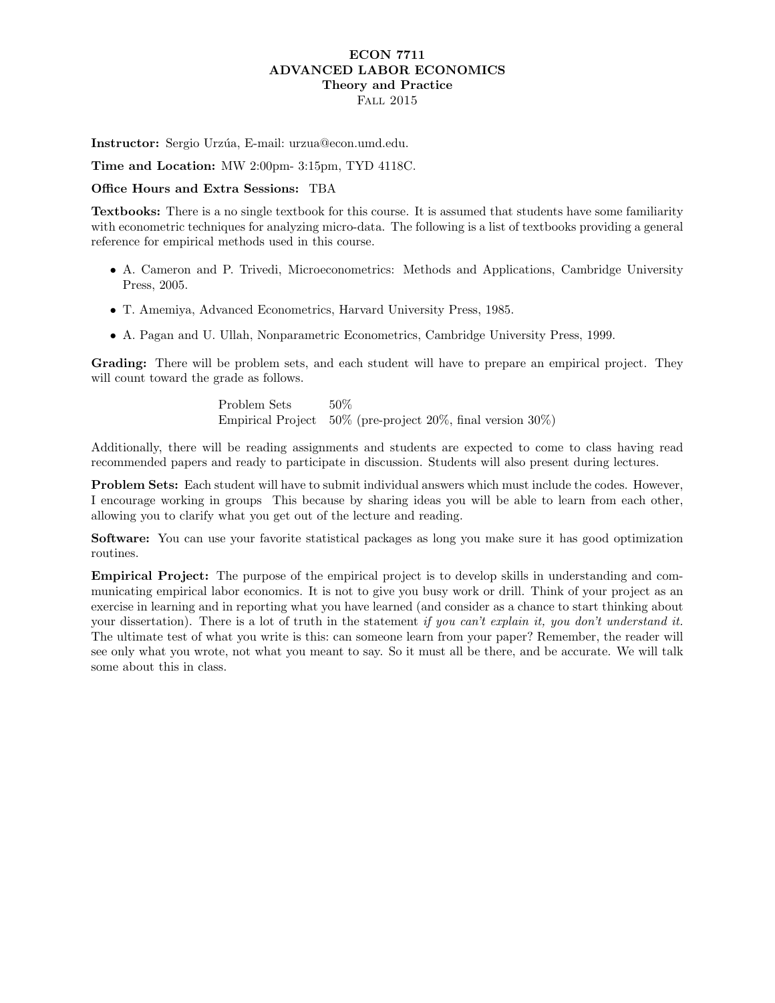## ECON 7711 ADVANCED LABOR ECONOMICS Theory and Practice Fall 2015

Instructor: Sergio Urzúa, E-mail: urzua@econ.umd.edu.

Time and Location: MW 2:00pm- 3:15pm, TYD 4118C.

## Office Hours and Extra Sessions: TBA

Textbooks: There is a no single textbook for this course. It is assumed that students have some familiarity with econometric techniques for analyzing micro-data. The following is a list of textbooks providing a general reference for empirical methods used in this course.

- A. Cameron and P. Trivedi, Microeconometrics: Methods and Applications, Cambridge University Press, 2005.
- T. Amemiya, Advanced Econometrics, Harvard University Press, 1985.
- A. Pagan and U. Ullah, Nonparametric Econometrics, Cambridge University Press, 1999.

Grading: There will be problem sets, and each student will have to prepare an empirical project. They will count toward the grade as follows.

> Problem Sets 50% Empirical Project 50% (pre-project 20%, final version 30%)

Additionally, there will be reading assignments and students are expected to come to class having read recommended papers and ready to participate in discussion. Students will also present during lectures.

Problem Sets: Each student will have to submit individual answers which must include the codes. However, I encourage working in groups This because by sharing ideas you will be able to learn from each other, allowing you to clarify what you get out of the lecture and reading.

Software: You can use your favorite statistical packages as long you make sure it has good optimization routines.

Empirical Project: The purpose of the empirical project is to develop skills in understanding and communicating empirical labor economics. It is not to give you busy work or drill. Think of your project as an exercise in learning and in reporting what you have learned (and consider as a chance to start thinking about your dissertation). There is a lot of truth in the statement if you can't explain it, you don't understand it. The ultimate test of what you write is this: can someone learn from your paper? Remember, the reader will see only what you wrote, not what you meant to say. So it must all be there, and be accurate. We will talk some about this in class.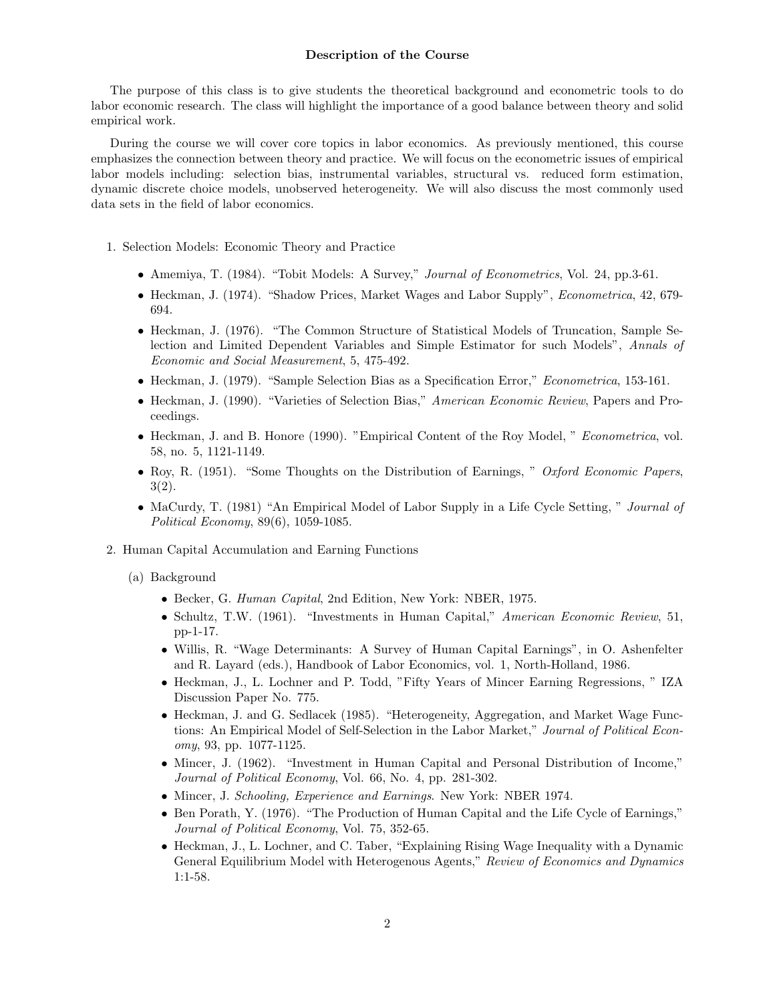## Description of the Course

The purpose of this class is to give students the theoretical background and econometric tools to do labor economic research. The class will highlight the importance of a good balance between theory and solid empirical work.

During the course we will cover core topics in labor economics. As previously mentioned, this course emphasizes the connection between theory and practice. We will focus on the econometric issues of empirical labor models including: selection bias, instrumental variables, structural vs. reduced form estimation, dynamic discrete choice models, unobserved heterogeneity. We will also discuss the most commonly used data sets in the field of labor economics.

- 1. Selection Models: Economic Theory and Practice
	- Amemiya, T. (1984). "Tobit Models: A Survey," Journal of Econometrics, Vol. 24, pp.3-61.
	- Heckman, J. (1974). "Shadow Prices, Market Wages and Labor Supply", Econometrica, 42, 679- 694.
	- Heckman, J. (1976). "The Common Structure of Statistical Models of Truncation, Sample Selection and Limited Dependent Variables and Simple Estimator for such Models", Annals of Economic and Social Measurement, 5, 475-492.
	- Heckman, J. (1979). "Sample Selection Bias as a Specification Error," *Econometrica*, 153-161.
	- Heckman, J. (1990). "Varieties of Selection Bias," American Economic Review, Papers and Proceedings.
	- Heckman, J. and B. Honore (1990). "Empirical Content of the Roy Model, " Econometrica, vol. 58, no. 5, 1121-1149.
	- Roy, R. (1951). "Some Thoughts on the Distribution of Earnings, " Oxford Economic Papers, 3(2).
	- MaCurdy, T. (1981) "An Empirical Model of Labor Supply in a Life Cycle Setting, " Journal of Political Economy, 89(6), 1059-1085.
- 2. Human Capital Accumulation and Earning Functions
	- (a) Background
		- Becker, G. Human Capital, 2nd Edition, New York: NBER, 1975.
		- Schultz, T.W. (1961). "Investments in Human Capital," American Economic Review, 51, pp-1-17.
		- Willis, R. "Wage Determinants: A Survey of Human Capital Earnings", in O. Ashenfelter and R. Layard (eds.), Handbook of Labor Economics, vol. 1, North-Holland, 1986.
		- Heckman, J., L. Lochner and P. Todd, "Fifty Years of Mincer Earning Regressions, " IZA Discussion Paper No. 775.
		- Heckman, J. and G. Sedlacek (1985). "Heterogeneity, Aggregation, and Market Wage Functions: An Empirical Model of Self-Selection in the Labor Market," Journal of Political Economy, 93, pp. 1077-1125.
		- Mincer, J. (1962). "Investment in Human Capital and Personal Distribution of Income," Journal of Political Economy, Vol. 66, No. 4, pp. 281-302.
		- Mincer, J. Schooling, Experience and Earnings. New York: NBER 1974.
		- Ben Porath, Y. (1976). "The Production of Human Capital and the Life Cycle of Earnings," Journal of Political Economy, Vol. 75, 352-65.
		- Heckman, J., L. Lochner, and C. Taber, "Explaining Rising Wage Inequality with a Dynamic General Equilibrium Model with Heterogenous Agents," Review of Economics and Dynamics 1:1-58.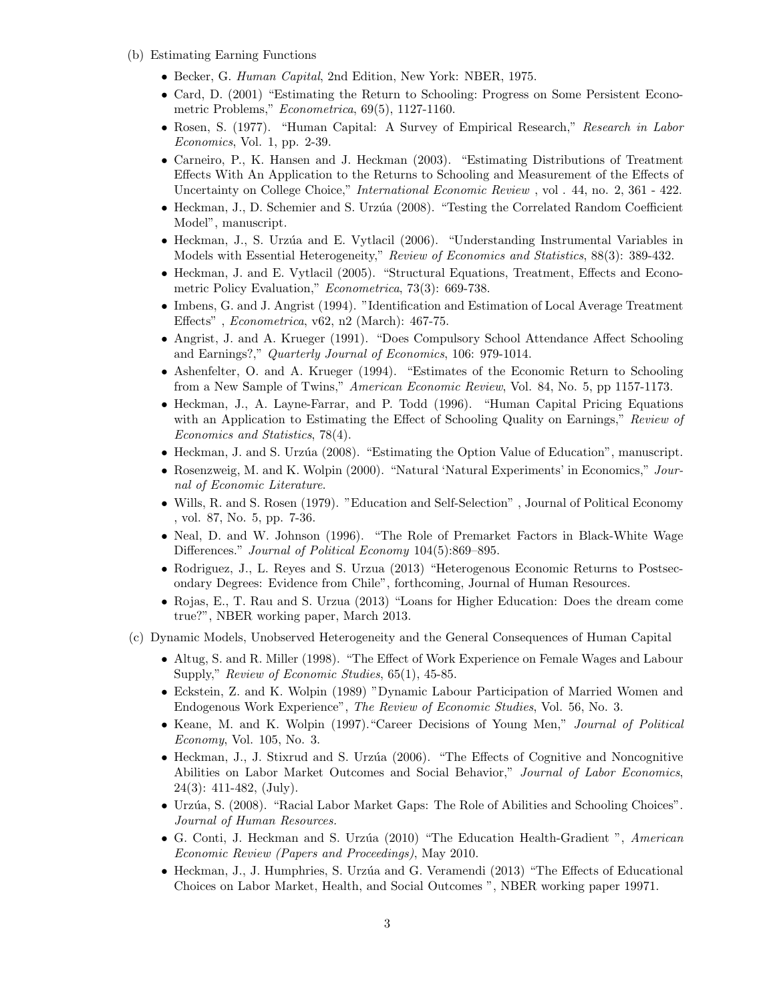- (b) Estimating Earning Functions
	- Becker, G. Human Capital, 2nd Edition, New York: NBER, 1975.
	- Card, D. (2001) "Estimating the Return to Schooling: Progress on Some Persistent Econometric Problems," Econometrica, 69(5), 1127-1160.
	- Rosen, S. (1977). "Human Capital: A Survey of Empirical Research," Research in Labor Economics, Vol. 1, pp. 2-39.
	- Carneiro, P., K. Hansen and J. Heckman (2003). "Estimating Distributions of Treatment Effects With An Application to the Returns to Schooling and Measurement of the Effects of Uncertainty on College Choice," International Economic Review , vol . 44, no. 2, 361 - 422.
	- Heckman, J., D. Schemier and S. Urzúa (2008). "Testing the Correlated Random Coefficient Model", manuscript.
	- Heckman, J., S. Urzúa and E. Vytlacil (2006). "Understanding Instrumental Variables in Models with Essential Heterogeneity," Review of Economics and Statistics, 88(3): 389-432.
	- Heckman, J. and E. Vytlacil (2005). "Structural Equations, Treatment, Effects and Econometric Policy Evaluation," Econometrica, 73(3): 669-738.
	- Imbens, G. and J. Angrist (1994). "Identification and Estimation of Local Average Treatment Effects" , Econometrica, v62, n2 (March): 467-75.
	- Angrist, J. and A. Krueger (1991). "Does Compulsory School Attendance Affect Schooling and Earnings?," Quarterly Journal of Economics, 106: 979-1014.
	- Ashenfelter, O. and A. Krueger (1994). "Estimates of the Economic Return to Schooling from a New Sample of Twins," American Economic Review, Vol. 84, No. 5, pp 1157-1173.
	- Heckman, J., A. Layne-Farrar, and P. Todd (1996). "Human Capital Pricing Equations with an Application to Estimating the Effect of Schooling Quality on Earnings," Review of Economics and Statistics, 78(4).
	- Heckman, J. and S. Urzúa (2008). "Estimating the Option Value of Education", manuscript.
	- Rosenzweig, M. and K. Wolpin (2000). "Natural 'Natural Experiments' in Economics," Journal of Economic Literature.
	- Wills, R. and S. Rosen (1979). "Education and Self-Selection" , Journal of Political Economy , vol. 87, No. 5, pp. 7-36.
	- Neal, D. and W. Johnson (1996). "The Role of Premarket Factors in Black-White Wage Differences." Journal of Political Economy 104(5):869–895.
	- Rodriguez, J., L. Reyes and S. Urzua (2013) "Heterogenous Economic Returns to Postsecondary Degrees: Evidence from Chile", forthcoming, Journal of Human Resources.
	- Rojas, E., T. Rau and S. Urzua (2013) "Loans for Higher Education: Does the dream come true?", NBER working paper, March 2013.
- (c) Dynamic Models, Unobserved Heterogeneity and the General Consequences of Human Capital
	- Altug, S. and R. Miller (1998). "The Effect of Work Experience on Female Wages and Labour Supply," Review of Economic Studies, 65(1), 45-85.
	- Eckstein, Z. and K. Wolpin (1989) "Dynamic Labour Participation of Married Women and Endogenous Work Experience", The Review of Economic Studies, Vol. 56, No. 3.
	- Keane, M. and K. Wolpin (1997)."Career Decisions of Young Men," Journal of Political Economy, Vol. 105, No. 3.
	- Heckman, J., J. Stixrud and S. Urzúa (2006). "The Effects of Cognitive and Noncognitive Abilities on Labor Market Outcomes and Social Behavior," Journal of Labor Economics, 24(3): 411-482, (July).
	- Urzúa, S. (2008). "Racial Labor Market Gaps: The Role of Abilities and Schooling Choices". Journal of Human Resources.
	- G. Conti, J. Heckman and S. Urzúa (2010) "The Education Health-Gradient", American Economic Review (Papers and Proceedings), May 2010.
	- Heckman, J., J. Humphries, S. Urzúa and G. Veramendi (2013) "The Effects of Educational Choices on Labor Market, Health, and Social Outcomes ", NBER working paper 19971.